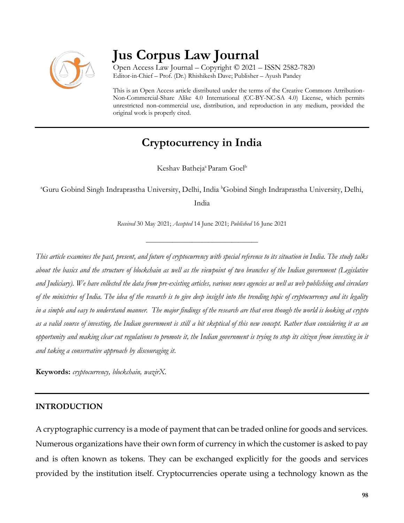

# **Jus Corpus Law Journal**

Open Access Law Journal – Copyright © 2021 – ISSN 2582-7820 Editor-in-Chief – Prof. (Dr.) Rhishikesh Dave; Publisher – Ayush Pandey

This is an Open Access article distributed under the terms of the Creative Commons Attribution-Non-Commercial-Share Alike 4.0 International (CC-BY-NC-SA 4.0) License, which permits unrestricted non-commercial use, distribution, and reproduction in any medium, provided the original work is properly cited.

# **Cryptocurrency in India**

Keshav Batheja<sup>a</sup> Param Goel<sup>b</sup>

<sup>a</sup>Guru Gobind Singh Indraprastha University, Delhi, India <sup>b</sup>Gobind Singh Indraprastha University, Delhi,

India

*Received* 30 May 2021; *Accepted* 14 June 2021; *Published* 16 June 2021

\_\_\_\_\_\_\_\_\_\_\_\_\_\_\_\_\_\_\_\_\_\_\_\_\_\_\_\_\_\_\_\_\_\_

*This article examines the past, present, and future of cryptocurrency with special reference to its situation in India. The study talks about the basics and the structure of blockchain as well as the viewpoint of two branches of the Indian government (Legislative and Judiciary). We have collected the data from pre-existing articles, various news agencies as well as web publishing and circulars of the ministries of India. The idea of the research is to give deep insight into the trending topic of cryptocurrency and its legality in a simple and easy to understand manner. The major findings of the research are that even though the world is looking at crypto as a valid source of investing, the Indian government is still a bit skeptical of this new concept. Rather than considering it as an opportunity and making clear cut regulations to promote it, the Indian government is trying to stop its citizen from investing in it and taking a conservative approach by discouraging it.*

**Keywords:** *cryptocurrency, blockchain, wazirX.*

#### **INTRODUCTION**

A cryptographic currency is a mode of payment that can be traded online for goods and services. Numerous organizations have their own form of currency in which the customer is asked to pay and is often known as tokens. They can be exchanged explicitly for the goods and services provided by the institution itself. Cryptocurrencies operate using a technology known as the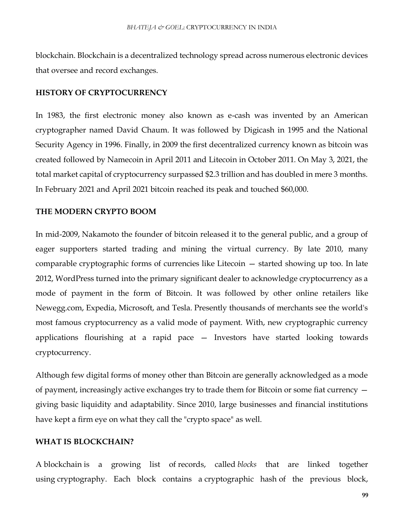blockchain. Blockchain is a decentralized technology spread across numerous electronic devices that oversee and record exchanges.

#### **HISTORY OF CRYPTOCURRENCY**

In 1983, the first electronic money also known as e-cash was invented by an American cryptographer named David Chaum. It was followed by Digicash in 1995 and the National Security Agency in 1996. Finally, in 2009 the first decentralized currency known as bitcoin was created followed by Namecoin in April 2011 and Litecoin in October 2011. On May 3, 2021, the total market capital of cryptocurrency surpassed \$2.3 trillion and has doubled in mere 3 months. In February 2021 and April 2021 bitcoin reached its peak and touched \$60,000.

#### **THE MODERN CRYPTO BOOM**

In mid-2009, Nakamoto the founder of bitcoin released it to the general public, and a group of eager supporters started trading and mining the virtual currency. By late 2010, many comparable cryptographic forms of currencies like Litecoin — started showing up too. In late 2012, WordPress turned into the primary significant dealer to acknowledge cryptocurrency as a mode of payment in the form of Bitcoin. It was followed by other online retailers like Newegg.com, Expedia, Microsoft, and Tesla. Presently thousands of merchants see the world's most famous cryptocurrency as a valid mode of payment. With, new cryptographic currency applications flourishing at a rapid pace — Investors have started looking towards cryptocurrency.

Although few digital forms of money other than Bitcoin are generally acknowledged as a mode of payment, increasingly active exchanges try to trade them for Bitcoin or some fiat currency giving basic liquidity and adaptability. Since 2010, large businesses and financial institutions have kept a firm eye on what they call the "crypto space" as well.

#### **WHAT IS BLOCKCHAIN?**

A blockchain is a growing list of records, called *blocks* that are linked together using cryptography. Each block contains a cryptographic hash of the previous block,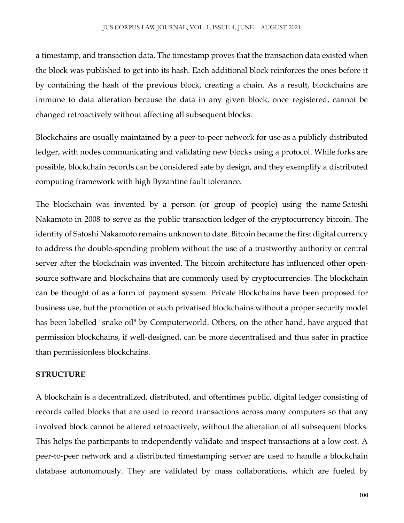a timestamp, and transaction data. The timestamp proves that the transaction data existed when the block was published to get into its hash. Each additional block reinforces the ones before it by containing the hash of the previous block, creating a chain. As a result, blockchains are immune to data alteration because the data in any given block, once registered, cannot be changed retroactively without affecting all subsequent blocks.

Blockchains are usually maintained by a peer-to-peer network for use as a publicly distributed ledger, with nodes communicating and validating new blocks using a protocol. While forks are possible, blockchain records can be considered safe by design, and they exemplify a distributed computing framework with high Byzantine fault tolerance.

The blockchain was invented by a person (or group of people) using the name Satoshi Nakamoto in 2008 to serve as the public transaction ledger of the cryptocurrency bitcoin. The identity of Satoshi Nakamoto remains unknown to date. Bitcoin became the first digital currency to address the double-spending problem without the use of a trustworthy authority or central server after the blockchain was invented. The bitcoin architecture has influenced other opensource software and blockchains that are commonly used by cryptocurrencies. The blockchain can be thought of as a form of payment system. Private Blockchains have been proposed for business use, but the promotion of such privatised blockchains without a proper security model has been labelled "snake oil" by Computerworld. Others, on the other hand, have argued that permission blockchains, if well-designed, can be more decentralised and thus safer in practice than permissionless blockchains.

#### **STRUCTURE**

A blockchain is a decentralized, distributed, and oftentimes public, digital ledger consisting of records called blocks that are used to record transactions across many computers so that any involved block cannot be altered retroactively, without the alteration of all subsequent blocks. This helps the participants to independently validate and inspect transactions at a low cost. A peer-to-peer network and a distributed timestamping server are used to handle a blockchain database autonomously. They are validated by mass collaborations, which are fueled by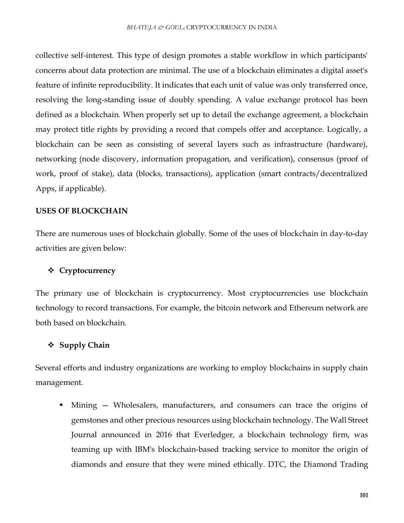collective self-interest. This type of design promotes a stable workflow in which participants' concerns about data protection are minimal. The use of a blockchain eliminates a digital asset's feature of infinite reproducibility. It indicates that each unit of value was only transferred once, resolving the long-standing issue of doubly spending. A value exchange protocol has been defined as a blockchain. When properly set up to detail the exchange agreement, a blockchain may protect title rights by providing a record that compels offer and acceptance. Logically, a blockchain can be seen as consisting of several layers such as infrastructure (hardware), networking (node discovery, information propagation, and verification), consensus (proof of work, proof of stake), data (blocks, transactions), application (smart contracts/decentralized Apps, if applicable).

#### **USES OF BLOCKCHAIN**

There are numerous uses of blockchain globally. Some of the uses of blockchain in day-to-day activities are given below:

#### **Cryptocurrency**

The primary use of blockchain is cryptocurrency. Most cryptocurrencies use blockchain technology to record transactions. For example, the bitcoin network and Ethereum network are both based on blockchain.

#### **Supply Chain**

Several efforts and industry organizations are working to employ blockchains in supply chain management.

Mining – Wholesalers, manufacturers, and consumers can trace the origins of gemstones and other precious resources using blockchain technology. The Wall Street Journal announced in 2016 that Everledger, a blockchain technology firm, was teaming up with IBM's blockchain-based tracking service to monitor the origin of diamonds and ensure that they were mined ethically. DTC, the Diamond Trading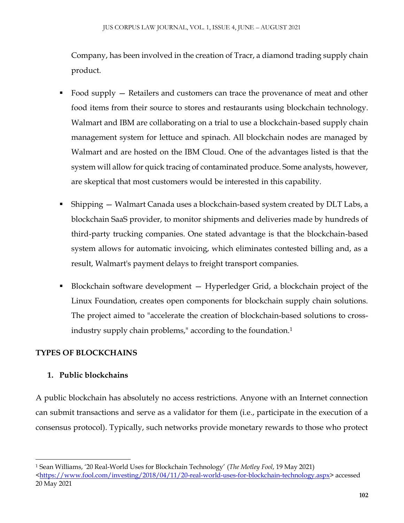Company, has been involved in the creation of Tracr, a diamond trading supply chain product.

- Food supply Retailers and customers can trace the provenance of meat and other food items from their source to stores and restaurants using blockchain technology. Walmart and IBM are collaborating on a trial to use a blockchain-based supply chain management system for lettuce and spinach. All blockchain nodes are managed by Walmart and are hosted on the IBM Cloud. One of the advantages listed is that the system will allow for quick tracing of contaminated produce. Some analysts, however, are skeptical that most customers would be interested in this capability.
- Shipping Walmart Canada uses a blockchain-based system created by DLT Labs, a blockchain SaaS provider, to monitor shipments and deliveries made by hundreds of third-party trucking companies. One stated advantage is that the blockchain-based system allows for automatic invoicing, which eliminates contested billing and, as a result, Walmart's payment delays to freight transport companies.
- Blockchain software development Hyperledger Grid, a blockchain project of the Linux Foundation, creates open components for blockchain supply chain solutions. The project aimed to "accelerate the creation of blockchain-based solutions to crossindustry supply chain problems," according to the foundation.<sup>1</sup>

# **TYPES OF BLOCKCHAINS**

# **1. Public blockchains**

A public blockchain has absolutely no access restrictions. Anyone with an Internet connection can submit transactions and serve as a validator for them (i.e., participate in the execution of a consensus protocol). Typically, such networks provide monetary rewards to those who protect

 $\overline{\phantom{a}}$ <sup>1</sup> Sean Williams, '20 Real-World Uses for Blockchain Technology' (*The Motley Fool*, 19 May 2021)

[<sup>&</sup>lt;https://www.fool.com/investing/2018/04/11/20-real-world-uses-for-blockchain-technology.aspx>](https://www.fool.com/investing/2018/04/11/20-real-world-uses-for-blockchain-technology.aspx) accessed 20 May 2021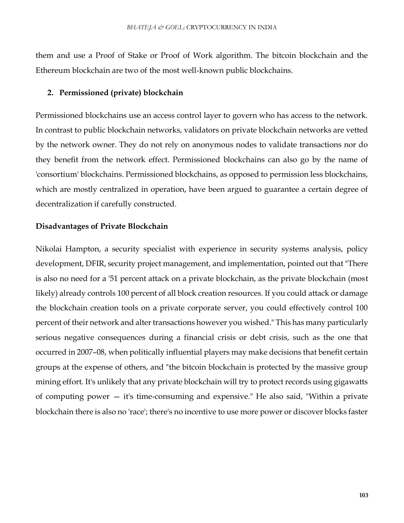them and use a Proof of Stake or Proof of Work algorithm. The bitcoin blockchain and the Ethereum blockchain are two of the most well-known public blockchains.

#### **2. Permissioned (private) blockchain**

Permissioned blockchains use an access control layer to govern who has access to the network. In contrast to public blockchain networks, validators on private blockchain networks are vetted by the network owner. They do not rely on anonymous nodes to validate transactions nor do they benefit from the network effect. Permissioned blockchains can also go by the name of 'consortium' blockchains. Permissioned blockchains, as opposed to permission less blockchains, which are mostly centralized in operation, have been argued to guarantee a certain degree of decentralization if carefully constructed.

#### **Disadvantages of Private Blockchain**

Nikolai Hampton, a security specialist with experience in security systems analysis, policy development, DFIR, security project management, and implementation, pointed out that "There is also no need for a '51 percent attack on a private blockchain, as the private blockchain (most likely) already controls 100 percent of all block creation resources. If you could attack or damage the blockchain creation tools on a private corporate server, you could effectively control 100 percent of their network and alter transactions however you wished." This has many particularly serious negative consequences during a financial crisis or debt crisis, such as the one that occurred in 2007–08, when politically influential players may make decisions that benefit certain groups at the expense of others, and "the bitcoin blockchain is protected by the massive group mining effort. It's unlikely that any private blockchain will try to protect records using gigawatts of computing power — it's time-consuming and expensive." He also said, "Within a private blockchain there is also no 'race'; there's no incentive to use more power or discover blocks faster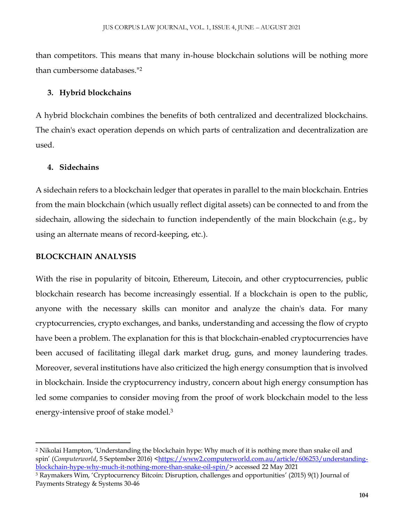than competitors. This means that many in-house blockchain solutions will be nothing more than cumbersome databases."<sup>2</sup>

#### **3. Hybrid blockchains**

A hybrid blockchain combines the benefits of both centralized and decentralized blockchains. The chain's exact operation depends on which parts of centralization and decentralization are used.

#### **4. Sidechains**

A sidechain refers to a blockchain ledger that operates in parallel to the main blockchain. Entries from the main blockchain (which usually reflect digital assets) can be connected to and from the sidechain, allowing the sidechain to function independently of the main blockchain (e.g., by using an alternate means of record-keeping, etc.).

#### **BLOCKCHAIN ANALYSIS**

 $\overline{a}$ 

With the rise in popularity of bitcoin, Ethereum, Litecoin, and other cryptocurrencies, public blockchain research has become increasingly essential. If a blockchain is open to the public, anyone with the necessary skills can monitor and analyze the chain's data. For many cryptocurrencies, crypto exchanges, and banks, understanding and accessing the flow of crypto have been a problem. The explanation for this is that blockchain-enabled cryptocurrencies have been accused of facilitating illegal dark market drug, guns, and money laundering trades. Moreover, several institutions have also criticized the high energy consumption that is involved in blockchain. Inside the cryptocurrency industry, concern about high energy consumption has led some companies to consider moving from the proof of work blockchain model to the less energy-intensive proof of stake model.<sup>3</sup>

<sup>2</sup> Nikolai Hampton, 'Understanding the blockchain hype: Why much of it is nothing more than snake oil and spin' (*Computerworld*, 5 September 2016) [<https://www2.computerworld.com.au/article/606253/understanding](https://www2.computerworld.com.au/article/606253/understanding-blockchain-hype-why-much-it-nothing-more-than-snake-oil-spin/)[blockchain-hype-why-much-it-nothing-more-than-snake-oil-spin/>](https://www2.computerworld.com.au/article/606253/understanding-blockchain-hype-why-much-it-nothing-more-than-snake-oil-spin/) accessed 22 May 2021

<sup>3</sup> Raymakers Wim, 'Cryptocurrency Bitcoin: Disruption, challenges and opportunities' (2015) 9(1) Journal of Payments Strategy & Systems 30-46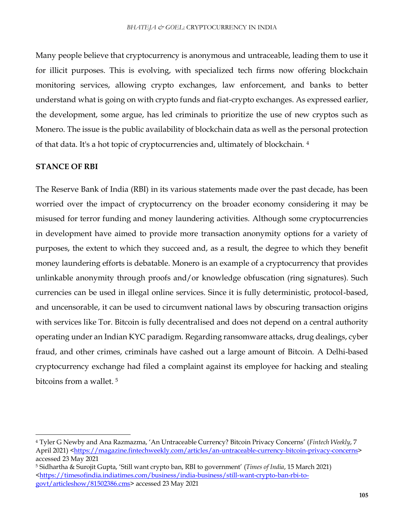Many people believe that cryptocurrency is anonymous and untraceable, leading them to use it for illicit purposes. This is evolving, with specialized tech firms now offering blockchain monitoring services, allowing crypto exchanges, law enforcement, and banks to better understand what is going on with crypto funds and fiat-crypto exchanges. As expressed earlier, the development, some argue, has led criminals to prioritize the use of new cryptos such as Monero. The issue is the public availability of blockchain data as well as the personal protection of that data. It's a hot topic of cryptocurrencies and, ultimately of blockchain. <sup>4</sup>

#### **STANCE OF RBI**

 $\overline{a}$ 

The Reserve Bank of India (RBI) in its various statements made over the past decade, has been worried over the impact of cryptocurrency on the broader economy considering it may be misused for terror funding and money laundering activities. Although some cryptocurrencies in development have aimed to provide more transaction anonymity options for a variety of purposes, the extent to which they succeed and, as a result, the degree to which they benefit money laundering efforts is debatable. Monero is an example of a cryptocurrency that provides unlinkable anonymity through proofs and/or knowledge obfuscation (ring signatures). Such currencies can be used in illegal online services. Since it is fully deterministic, protocol-based, and uncensorable, it can be used to circumvent national laws by obscuring transaction origins with services like Tor. Bitcoin is fully decentralised and does not depend on a central authority operating under an Indian KYC paradigm. Regarding ransomware attacks, drug dealings, cyber fraud, and other crimes, criminals have cashed out a large amount of Bitcoin. A Delhi-based cryptocurrency exchange had filed a complaint against its employee for hacking and stealing bitcoins from a wallet.<sup>5</sup>

<sup>4</sup> Tyler G Newby and Ana Razmazma, 'An Untraceable Currency? Bitcoin Privacy Concerns' (*Fintech Weekly*, 7 April 2021) [<https://magazine.fintechweekly.com/articles/an-untraceable-currency-bitcoin-privacy-concerns>](https://magazine.fintechweekly.com/articles/an-untraceable-currency-bitcoin-privacy-concerns) accessed 23 May 2021

<sup>5</sup> Sidhartha & Surojit Gupta, 'Still want crypto ban, RBI to government' (*Times of India*, 15 March 2021) [<https://timesofindia.indiatimes.com/business/india-business/still-want-crypto-ban-rbi-to-](https://timesofindia.indiatimes.com/business/india-business/still-want-crypto-ban-rbi-to-govt/articleshow/81502386.cms)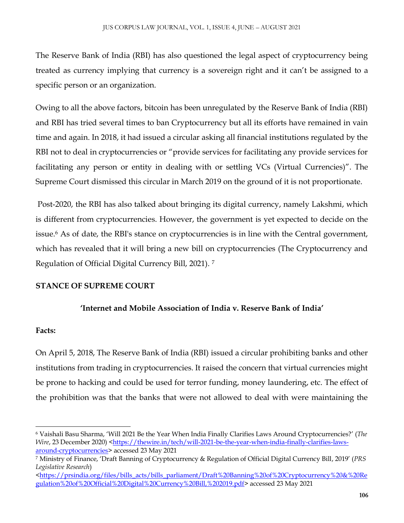The Reserve Bank of India (RBI) has also questioned the legal aspect of cryptocurrency being treated as currency implying that currency is a sovereign right and it can't be assigned to a specific person or an organization.

Owing to all the above factors, bitcoin has been unregulated by the Reserve Bank of India (RBI) and RBI has tried several times to ban Cryptocurrency but all its efforts have remained in vain time and again. In 2018, it had issued a circular asking all financial institutions regulated by the RBI not to deal in cryptocurrencies or "provide services for facilitating any provide services for facilitating any person or entity in dealing with or settling VCs (Virtual Currencies)". The Supreme Court dismissed this circular in March 2019 on the ground of it is not proportionate.

Post-2020, the RBI has also talked about bringing its digital currency, namely Lakshmi, which is different from cryptocurrencies. However, the government is yet expected to decide on the issue.<sup>6</sup> As of date, the RBI's stance on cryptocurrencies is in line with the Central government, which has revealed that it will bring a new bill on cryptocurrencies (The Cryptocurrency and Regulation of Official Digital Currency Bill, 2021). <sup>7</sup>

## **STANCE OF SUPREME COURT**

## **'Internet and Mobile Association of India v. Reserve Bank of India'**

#### **Facts:**

 $\overline{a}$ 

On April 5, 2018, The Reserve Bank of India (RBI) issued a circular prohibiting banks and other institutions from trading in cryptocurrencies. It raised the concern that virtual currencies might be prone to hacking and could be used for terror funding, money laundering, etc. The effect of the prohibition was that the banks that were not allowed to deal with were maintaining the

<sup>6</sup> Vaishali Basu Sharma, 'Will 2021 Be the Year When India Finally Clarifies Laws Around Cryptocurrencies?' (*The Wire*, 23 December 2020) [<https://thewire.in/tech/will-2021-be-the-year-when-india-finally-clarifies-laws](https://thewire.in/tech/will-2021-be-the-year-when-india-finally-clarifies-laws-around-cryptocurrencies)[around-cryptocurrencies>](https://thewire.in/tech/will-2021-be-the-year-when-india-finally-clarifies-laws-around-cryptocurrencies) accessed 23 May 2021

<sup>7</sup> Ministry of Finance, 'Draft Banning of Cryptocurrency & Regulation of Official Digital Currency Bill, 2019' (*PRS Legislative Research*)

[<sup>&</sup>lt;https://prsindia.org/files/bills\\_acts/bills\\_parliament/Draft%20Banning%20of%20Cryptocurrency%20&%20Re](https://prsindia.org/files/bills_acts/bills_parliament/Draft%20Banning%20of%20Cryptocurrency%20&%20Regulation%20of%20Official%20Digital%20Currency%20Bill,%202019.pdf) [gulation%20of%20Official%20Digital%20Currency%20Bill,%202019.pdf>](https://prsindia.org/files/bills_acts/bills_parliament/Draft%20Banning%20of%20Cryptocurrency%20&%20Regulation%20of%20Official%20Digital%20Currency%20Bill,%202019.pdf) accessed 23 May 2021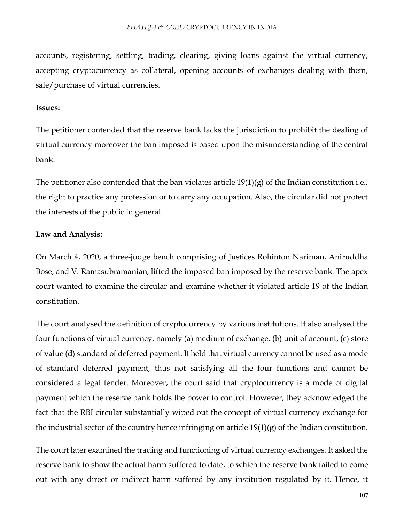accounts, registering, settling, trading, clearing, giving loans against the virtual currency, accepting cryptocurrency as collateral, opening accounts of exchanges dealing with them, sale/purchase of virtual currencies.

#### **Issues:**

The petitioner contended that the reserve bank lacks the jurisdiction to prohibit the dealing of virtual currency moreover the ban imposed is based upon the misunderstanding of the central bank.

The petitioner also contended that the ban violates article  $19(1)(g)$  of the Indian constitution i.e., the right to practice any profession or to carry any occupation. Also, the circular did not protect the interests of the public in general.

#### **Law and Analysis:**

On March 4, 2020, a three-judge bench comprising of Justices Rohinton Nariman, Aniruddha Bose, and V. Ramasubramanian, lifted the imposed ban imposed by the reserve bank. The apex court wanted to examine the circular and examine whether it violated article 19 of the Indian constitution.

The court analysed the definition of cryptocurrency by various institutions. It also analysed the four functions of virtual currency, namely (a) medium of exchange, (b) unit of account, (c) store of value (d) standard of deferred payment. It held that virtual currency cannot be used as a mode of standard deferred payment, thus not satisfying all the four functions and cannot be considered a legal tender. Moreover, the court said that cryptocurrency is a mode of digital payment which the reserve bank holds the power to control. However, they acknowledged the fact that the RBI circular substantially wiped out the concept of virtual currency exchange for the industrial sector of the country hence infringing on article 19(1)(g) of the Indian constitution.

The court later examined the trading and functioning of virtual currency exchanges. It asked the reserve bank to show the actual harm suffered to date, to which the reserve bank failed to come out with any direct or indirect harm suffered by any institution regulated by it. Hence, it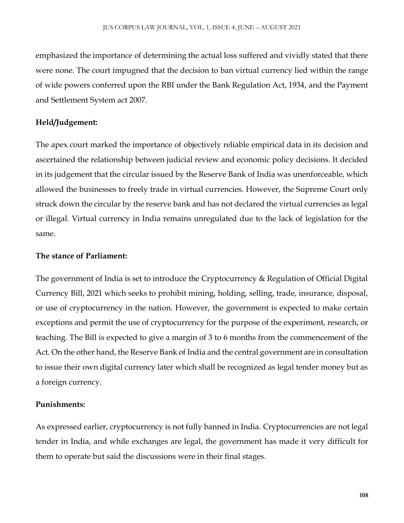emphasized the importance of determining the actual loss suffered and vividly stated that there were none. The court impugned that the decision to ban virtual currency lied within the range of wide powers conferred upon the RBI under the Bank Regulation Act, 1934, and the Payment and Settlement System act 2007.

#### **Held/Judgement:**

The apex court marked the importance of objectively reliable empirical data in its decision and ascertained the relationship between judicial review and economic policy decisions. It decided in its judgement that the circular issued by the Reserve Bank of India was unenforceable, which allowed the businesses to freely trade in virtual currencies. However, the Supreme Court only struck down the circular by the reserve bank and has not declared the virtual currencies as legal or illegal. Virtual currency in India remains unregulated due to the lack of legislation for the same.

#### **The stance of Parliament:**

The government of India is set to introduce the Cryptocurrency & Regulation of Official Digital Currency Bill, 2021 which seeks to prohibit mining, holding, selling, trade, insurance, disposal, or use of cryptocurrency in the nation. However, the government is expected to make certain exceptions and permit the use of cryptocurrency for the purpose of the experiment, research, or teaching. The Bill is expected to give a margin of 3 to 6 months from the commencement of the Act. On the other hand, the Reserve Bank of India and the central government are in consultation to issue their own digital currency later which shall be recognized as legal tender money but as a foreign currency.

#### **Punishments:**

As expressed earlier, cryptocurrency is not fully banned in India. Cryptocurrencies are not legal tender in India, and while exchanges are legal, the government has made it very difficult for them to operate but said the discussions were in their final stages.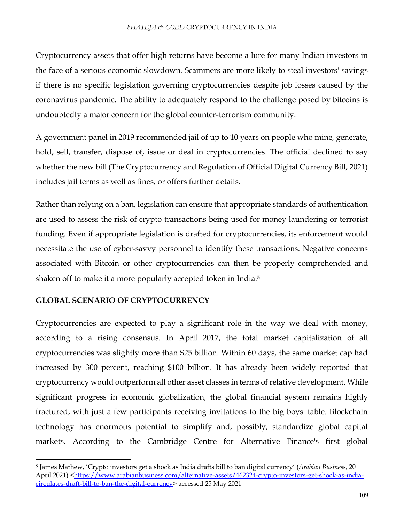Cryptocurrency assets that offer high returns have become a lure for many Indian investors in the face of a serious economic slowdown. Scammers are more likely to steal investors' savings if there is no specific legislation governing cryptocurrencies despite job losses caused by the coronavirus pandemic. The ability to adequately respond to the challenge posed by bitcoins is undoubtedly a major concern for the global counter-terrorism community.

A government panel in 2019 recommended jail of up to 10 years on people who mine, generate, hold, sell, transfer, dispose of, issue or deal in cryptocurrencies. The official declined to say whether the new bill (The Cryptocurrency and Regulation of Official Digital Currency Bill, 2021) includes jail terms as well as fines, or offers further details.

Rather than relying on a ban, legislation can ensure that appropriate standards of authentication are used to assess the risk of crypto transactions being used for money laundering or terrorist funding. Even if appropriate legislation is drafted for cryptocurrencies, its enforcement would necessitate the use of cyber-savvy personnel to identify these transactions. Negative concerns associated with Bitcoin or other cryptocurrencies can then be properly comprehended and shaken off to make it a more popularly accepted token in India.<sup>8</sup>

#### **GLOBAL SCENARIO OF CRYPTOCURRENCY**

 $\overline{\phantom{a}}$ 

Cryptocurrencies are expected to play a significant role in the way we deal with money, according to a rising consensus. In April 2017, the total market capitalization of all cryptocurrencies was slightly more than \$25 billion. Within 60 days, the same market cap had increased by 300 percent, reaching \$100 billion. It has already been widely reported that cryptocurrency would outperform all other asset classes in terms of relative development. While significant progress in economic globalization, the global financial system remains highly fractured, with just a few participants receiving invitations to the big boys' table. Blockchain technology has enormous potential to simplify and, possibly, standardize global capital markets. According to the Cambridge Centre for Alternative Finance's first global

<sup>8</sup> James Mathew, 'Crypto investors get a shock as India drafts bill to ban digital currency' (*Arabian Business*, 20 April 2021) [<https://www.arabianbusiness.com/alternative-assets/462324-crypto-investors-get-shock-as-india](https://www.arabianbusiness.com/alternative-assets/462324-crypto-investors-get-shock-as-india-circulates-draft-bill-to-ban-the-digital-currency)[circulates-draft-bill-to-ban-the-digital-currency>](https://www.arabianbusiness.com/alternative-assets/462324-crypto-investors-get-shock-as-india-circulates-draft-bill-to-ban-the-digital-currency) accessed 25 May 2021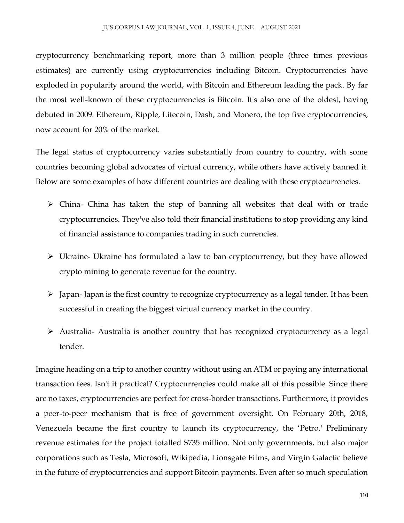cryptocurrency benchmarking report, more than 3 million people (three times previous estimates) are currently using cryptocurrencies including Bitcoin. Cryptocurrencies have exploded in popularity around the world, with Bitcoin and Ethereum leading the pack. By far the most well-known of these cryptocurrencies is Bitcoin. It's also one of the oldest, having debuted in 2009. Ethereum, Ripple, Litecoin, Dash, and Monero, the top five cryptocurrencies, now account for 20% of the market.

The legal status of cryptocurrency varies substantially from country to country, with some countries becoming global advocates of virtual currency, while others have actively banned it. Below are some examples of how different countries are dealing with these cryptocurrencies.

- China- China has taken the step of banning all websites that deal with or trade cryptocurrencies. They've also told their financial institutions to stop providing any kind of financial assistance to companies trading in such currencies.
- Ukraine- Ukraine has formulated a law to ban cryptocurrency, but they have allowed crypto mining to generate revenue for the country.
- $\triangleright$  Japan- Japan is the first country to recognize cryptocurrency as a legal tender. It has been successful in creating the biggest virtual currency market in the country.
- Australia- Australia is another country that has recognized cryptocurrency as a legal tender.

Imagine heading on a trip to another country without using an ATM or paying any international transaction fees. Isn't it practical? Cryptocurrencies could make all of this possible. Since there are no taxes, cryptocurrencies are perfect for cross-border transactions. Furthermore, it provides a peer-to-peer mechanism that is free of government oversight. On February 20th, 2018, Venezuela became the first country to launch its cryptocurrency, the 'Petro.' Preliminary revenue estimates for the project totalled \$735 million. Not only governments, but also major corporations such as Tesla, Microsoft, Wikipedia, Lionsgate Films, and Virgin Galactic believe in the future of cryptocurrencies and support Bitcoin payments. Even after so much speculation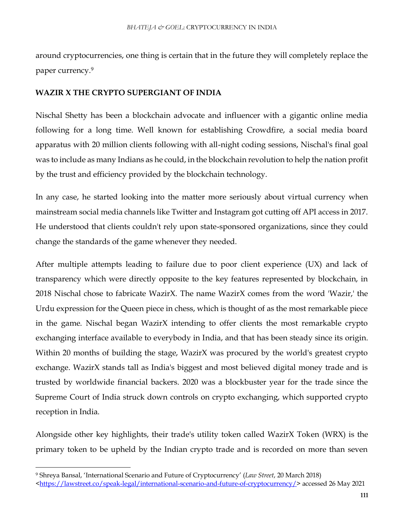around cryptocurrencies, one thing is certain that in the future they will completely replace the paper currency.<sup>9</sup>

#### **WAZIR X THE CRYPTO SUPERGIANT OF INDIA**

Nischal Shetty has been a blockchain advocate and influencer with a gigantic online media following for a long time. Well known for establishing Crowdfire, a social media board apparatus with 20 million clients following with all-night coding sessions, Nischal's final goal was to include as many Indians as he could, in the blockchain revolution to help the nation profit by the trust and efficiency provided by the blockchain technology.

In any case, he started looking into the matter more seriously about virtual currency when mainstream social media channels like Twitter and Instagram got cutting off API access in 2017. He understood that clients couldn't rely upon state-sponsored organizations, since they could change the standards of the game whenever they needed.

After multiple attempts leading to failure due to poor client experience (UX) and lack of transparency which were directly opposite to the key features represented by blockchain, in 2018 Nischal chose to fabricate WazirX. The name WazirX comes from the word 'Wazir,' the Urdu expression for the Queen piece in chess, which is thought of as the most remarkable piece in the game. Nischal began WazirX intending to offer clients the most remarkable crypto exchanging interface available to everybody in India, and that has been steady since its origin. Within 20 months of building the stage, WazirX was procured by the world's greatest crypto exchange. WazirX stands tall as India's biggest and most believed digital money trade and is trusted by worldwide financial backers. 2020 was a blockbuster year for the trade since the Supreme Court of India struck down controls on crypto exchanging, which supported crypto reception in India.

Alongside other key highlights, their trade's utility token called WazirX Token (WRX) is the primary token to be upheld by the Indian crypto trade and is recorded on more than seven

 $\overline{\phantom{a}}$ 

<sup>9</sup> Shreya Bansal, 'International Scenario and Future of Cryptocurrency' (*Law Street*, 20 March 2018)

[<sup>&</sup>lt;https://lawstreet.co/speak-legal/international-scenario-and-future-of-cryptocurrency/>](https://lawstreet.co/speak-legal/international-scenario-and-future-of-cryptocurrency/) accessed 26 May 2021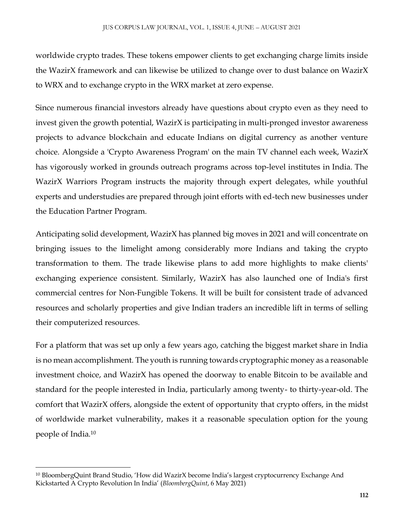worldwide crypto trades. These tokens empower clients to get exchanging charge limits inside the WazirX framework and can likewise be utilized to change over to dust balance on WazirX to WRX and to exchange crypto in the WRX market at zero expense.

Since numerous financial investors already have questions about crypto even as they need to invest given the growth potential, WazirX is participating in multi-pronged investor awareness projects to advance blockchain and educate Indians on digital currency as another venture choice. Alongside a 'Crypto Awareness Program' on the main TV channel each week, WazirX has vigorously worked in grounds outreach programs across top-level institutes in India. The WazirX Warriors Program instructs the majority through expert delegates, while youthful experts and understudies are prepared through joint efforts with ed-tech new businesses under the Education Partner Program.

Anticipating solid development, WazirX has planned big moves in 2021 and will concentrate on bringing issues to the limelight among considerably more Indians and taking the crypto transformation to them. The trade likewise plans to add more highlights to make clients' exchanging experience consistent. Similarly, WazirX has also launched one of India's first commercial centres for Non-Fungible Tokens. It will be built for consistent trade of advanced resources and scholarly properties and give Indian traders an incredible lift in terms of selling their computerized resources.

For a platform that was set up only a few years ago, catching the biggest market share in India is no mean accomplishment. The youth is running towards cryptographic money as a reasonable investment choice, and WazirX has opened the doorway to enable Bitcoin to be available and standard for the people interested in India, particularly among twenty- to thirty-year-old. The comfort that WazirX offers, alongside the extent of opportunity that crypto offers, in the midst of worldwide market vulnerability, makes it a reasonable speculation option for the young people of India.<sup>10</sup>

 $\overline{\phantom{a}}$ <sup>10</sup> BloombergQuint Brand Studio, 'How did WazirX become India's largest cryptocurrency Exchange And Kickstarted A Crypto Revolution In India' (*BloombergQuint*, 6 May 2021)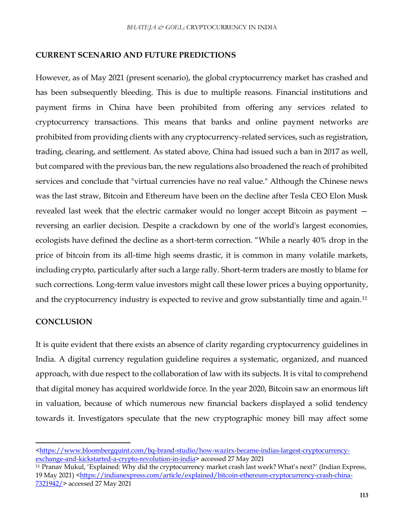#### **CURRENT SCENARIO AND FUTURE PREDICTIONS**

However, as of May 2021 (present scenario), the global cryptocurrency market has crashed and has been subsequently bleeding. This is due to multiple reasons. Financial institutions and payment firms in China have been prohibited from offering any services related to cryptocurrency transactions. This means that banks and online payment networks are prohibited from providing clients with any cryptocurrency-related services, such as registration, trading, clearing, and settlement. As stated above, China had issued such a ban in 2017 as well, but compared with the previous ban, the new regulations also broadened the reach of prohibited services and conclude that "virtual currencies have no real value." Although the Chinese news was the last straw, Bitcoin and Ethereum have been on the decline after Tesla CEO Elon Musk revealed last week that the electric carmaker would no longer accept Bitcoin as payment reversing an earlier decision. Despite a crackdown by one of the world's largest economies, ecologists have defined the decline as a short-term correction. "While a nearly 40% drop in the price of bitcoin from its all-time high seems drastic, it is common in many volatile markets, including crypto, particularly after such a large rally. Short-term traders are mostly to blame for such corrections. Long-term value investors might call these lower prices a buying opportunity, and the cryptocurrency industry is expected to revive and grow substantially time and again.<sup>11</sup>

#### **CONCLUSION**

 $\overline{a}$ 

It is quite evident that there exists an absence of clarity regarding cryptocurrency guidelines in India. A digital currency regulation guideline requires a systematic, organized, and nuanced approach, with due respect to the collaboration of law with its subjects. It is vital to comprehend that digital money has acquired worldwide force. In the year 2020, Bitcoin saw an enormous lift in valuation, because of which numerous new financial backers displayed a solid tendency towards it. Investigators speculate that the new cryptographic money bill may affect some

[<sup>&</sup>lt;https://www.bloombergquint.com/bq-brand-studio/how-wazirx-became-indias-largest-cryptocurrency](https://www.bloombergquint.com/bq-brand-studio/how-wazirx-became-indias-largest-cryptocurrency-exchange-and-kickstarted-a-crypto-revolution-in-india)[exchange-and-kickstarted-a-crypto-revolution-in-india>](https://www.bloombergquint.com/bq-brand-studio/how-wazirx-became-indias-largest-cryptocurrency-exchange-and-kickstarted-a-crypto-revolution-in-india) accessed 27 May 2021

<sup>11</sup> Pranav Mukul, 'Explained: Why did the cryptocurrency market crash last week? What's next?' (Indian Express, 19 May 2021) [<https://indianexpress.com/article/explained/bitcoin-ethereum-cryptocurrency-crash-china-](https://indianexpress.com/article/explained/bitcoin-ethereum-cryptocurrency-crash-china-7321942/)[7321942/>](https://indianexpress.com/article/explained/bitcoin-ethereum-cryptocurrency-crash-china-7321942/) accessed 27 May 2021